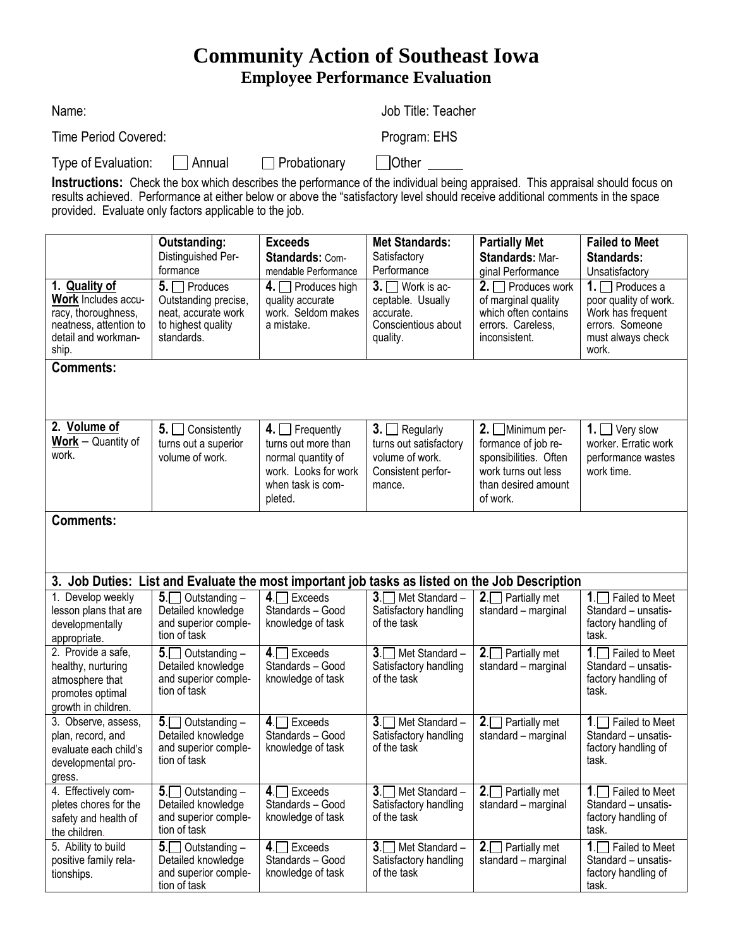## **Community Action of Southeast Iowa Employee Performance Evaluation**

| Name:                        |                     | Job Title: Teacher |
|------------------------------|---------------------|--------------------|
| Time Period Covered:         |                     | Program: EHS       |
| Type of Evaluation:   Annual | $\Box$ Probationary | Other              |

**Instructions:** Check the box which describes the performance of the individual being appraised. This appraisal should focus on results achieved. Performance at either below or above the "satisfactory level should receive additional comments in the space provided. Evaluate only factors applicable to the job.

|                                                                                                                              | Outstanding:                                                                                          | <b>Exceeds</b>                                                                                                            | <b>Met Standards:</b>                                                                            | <b>Partially Met</b>                                                                                                        | <b>Failed to Meet</b>                                                                                               |
|------------------------------------------------------------------------------------------------------------------------------|-------------------------------------------------------------------------------------------------------|---------------------------------------------------------------------------------------------------------------------------|--------------------------------------------------------------------------------------------------|-----------------------------------------------------------------------------------------------------------------------------|---------------------------------------------------------------------------------------------------------------------|
|                                                                                                                              | Distinguished Per-                                                                                    | <b>Standards: Com-</b>                                                                                                    | Satisfactory                                                                                     | <b>Standards: Mar-</b>                                                                                                      | <b>Standards:</b>                                                                                                   |
|                                                                                                                              | formance                                                                                              | mendable Performance                                                                                                      | Performance                                                                                      | ginal Performance                                                                                                           | Unsatisfactory                                                                                                      |
| 1. Quality of<br><b>Work</b> Includes accu-<br>racy, thoroughness,<br>neatness, attention to<br>detail and workman-<br>ship. | $5. \Box$ Produces<br>Outstanding precise,<br>neat, accurate work<br>to highest quality<br>standards. | 4. $\Box$ Produces high<br>quality accurate<br>work. Seldom makes<br>a mistake.                                           | $3.$ Work is ac-<br>ceptable. Usually<br>accurate.<br>Conscientious about<br>quality.            | $2. \Box$ Produces work<br>of marginal quality<br>which often contains<br>errors. Careless,<br>inconsistent.                | 1. $\Box$ Produces a<br>poor quality of work.<br>Work has frequent<br>errors. Someone<br>must always check<br>work. |
| <b>Comments:</b>                                                                                                             |                                                                                                       |                                                                                                                           |                                                                                                  |                                                                                                                             |                                                                                                                     |
|                                                                                                                              |                                                                                                       |                                                                                                                           |                                                                                                  |                                                                                                                             |                                                                                                                     |
| 2. Volume of<br>$Work - Quantity of$<br>work.                                                                                | $5. \Box$<br>Consistently<br>turns out a superior<br>volume of work.                                  | 4. $\Box$ Frequently<br>turns out more than<br>normal quantity of<br>work. Looks for work<br>when task is com-<br>pleted. | $3. \Box$ Regularly<br>turns out satisfactory<br>volume of work.<br>Consistent perfor-<br>mance. | $2.$ Minimum per-<br>formance of job re-<br>sponsibilities. Often<br>work turns out less<br>than desired amount<br>of work. | Very slow<br>1.1 <sub>1</sub><br>worker. Erratic work<br>performance wastes<br>work time.                           |
| <b>Comments:</b>                                                                                                             |                                                                                                       |                                                                                                                           |                                                                                                  |                                                                                                                             |                                                                                                                     |
| $\ddot{\phantom{1}}$                                                                                                         |                                                                                                       | The Bottom The med Bottom the most bounded by the train Bottom College Bottom and the The Botto                           |                                                                                                  | .                                                                                                                           |                                                                                                                     |

| 3. Job Duties: List and Evaluate the most important job tasks as listed on the Job Description         |                                                                                      |                                                              |                                                             |                                                  |                                                                                   |
|--------------------------------------------------------------------------------------------------------|--------------------------------------------------------------------------------------|--------------------------------------------------------------|-------------------------------------------------------------|--------------------------------------------------|-----------------------------------------------------------------------------------|
| 1. Develop weekly<br>lesson plans that are<br>developmentally<br>appropriate.                          | $5\Box$ Outstanding –<br>Detailed knowledge<br>and superior comple-<br>tion of task  | $4 \square$ Exceeds<br>Standards - Good<br>knowledge of task | $3.$ Met Standard –<br>Satisfactory handling<br>of the task | $2.$ Partially met<br>standard - marginal        | $1 \n\prod$ Failed to Meet<br>Standard - unsatis-<br>factory handling of<br>task. |
| 2. Provide a safe,<br>healthy, nurturing<br>atmosphere that<br>promotes optimal<br>growth in children. | $5\Box$ Outstanding –<br>Detailed knowledge<br>and superior comple-<br>tion of task  | $4 \square$ Exceeds<br>Standards - Good<br>knowledge of task | $3.$ Met Standard –<br>Satisfactory handling<br>of the task | $2 \square$ Partially met<br>standard - marginal | 1. $\Box$ Failed to Meet<br>Standard - unsatis-<br>factory handling of<br>task.   |
| 3. Observe, assess,<br>plan, record, and<br>evaluate each child's<br>developmental pro-<br>gress.      | $5 \Box$ Outstanding -<br>Detailed knowledge<br>and superior comple-<br>tion of task | $4 \square$ Exceeds<br>Standards - Good<br>knowledge of task | $3.$ Met Standard –<br>Satisfactory handling<br>of the task | $2 \square$ Partially met<br>standard - marginal | $1.$ Failed to Meet<br>Standard - unsatis-<br>factory handling of<br>task.        |
| 4. Effectively com-<br>pletes chores for the<br>safety and health of<br>the children.                  | $5\Box$ Outstanding –<br>Detailed knowledge<br>and superior comple-<br>tion of task  | $4 \n\Box$ Exceeds<br>Standards - Good<br>knowledge of task  | $3.$ Met Standard –<br>Satisfactory handling<br>of the task | $2.$ Partially met<br>standard - marginal        | 1. $\Box$ Failed to Meet<br>Standard - unsatis-<br>factory handling of<br>task.   |
| 5. Ability to build<br>positive family rela-<br>tionships.                                             | $5\Box$ Outstanding –<br>Detailed knowledge<br>and superior comple-<br>tion of task  | $4 \Box$ Exceeds<br>Standards - Good<br>knowledge of task    | $3.$ Met Standard –<br>Satisfactory handling<br>of the task | $2.$ Partially met<br>standard - marginal        | $1 \n\prod$ Failed to Meet<br>Standard - unsatis-<br>factory handling of<br>task. |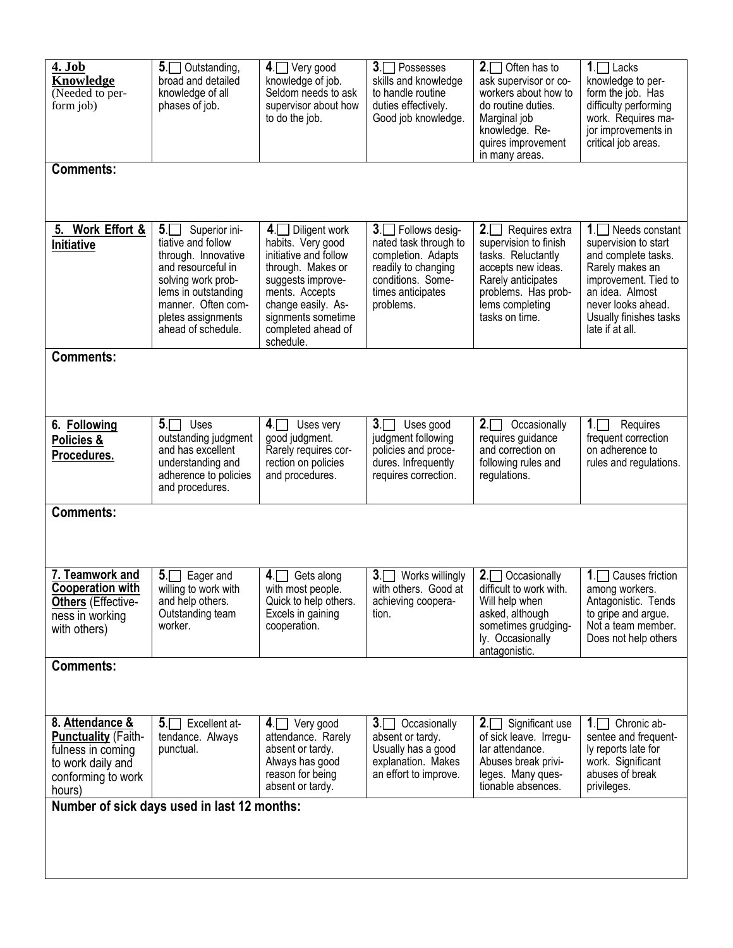| 4. Job<br><b>Knowledge</b><br>(Needed to per-<br>form job)                                                              | 5. Outstanding,<br>broad and detailed<br>knowledge of all<br>phases of job.                                                                                                                                | $4.$ Very good<br>knowledge of job.<br>Seldom needs to ask<br>supervisor about how<br>to do the job.                                                                                                                     | $3.$ Possesses<br>skills and knowledge<br>to handle routine<br>duties effectively.<br>Good job knowledge.                                      | $2.$ Often has to<br>ask supervisor or co-<br>workers about how to<br>do routine duties.<br>Marginal job<br>knowledge. Re-<br>quires improvement<br>in many areas.               | $1 -$ Lacks<br>knowledge to per-<br>form the job. Has<br>difficulty performing<br>work. Requires ma-<br>jor improvements in<br>critical job areas.                                                      |
|-------------------------------------------------------------------------------------------------------------------------|------------------------------------------------------------------------------------------------------------------------------------------------------------------------------------------------------------|--------------------------------------------------------------------------------------------------------------------------------------------------------------------------------------------------------------------------|------------------------------------------------------------------------------------------------------------------------------------------------|----------------------------------------------------------------------------------------------------------------------------------------------------------------------------------|---------------------------------------------------------------------------------------------------------------------------------------------------------------------------------------------------------|
| <b>Comments:</b>                                                                                                        |                                                                                                                                                                                                            |                                                                                                                                                                                                                          |                                                                                                                                                |                                                                                                                                                                                  |                                                                                                                                                                                                         |
| Work Effort &<br>5.<br>Initiative                                                                                       | $5\Box$<br>Superior ini-<br>tiative and follow<br>through. Innovative<br>and resourceful in<br>solving work prob-<br>lems in outstanding<br>manner. Often com-<br>pletes assignments<br>ahead of schedule. | 4 <sub>1</sub><br>Diligent work<br>habits. Very good<br>initiative and follow<br>through. Makes or<br>suggests improve-<br>ments. Accepts<br>change easily. As-<br>signments sometime<br>completed ahead of<br>schedule. | 3. Follows desig-<br>nated task through to<br>completion. Adapts<br>readily to changing<br>conditions. Some-<br>times anticipates<br>problems. | $2\Box$<br>Requires extra<br>supervision to finish<br>tasks. Reluctantly<br>accepts new ideas.<br>Rarely anticipates<br>problems. Has prob-<br>lems completing<br>tasks on time. | $1$ .<br>Needs constant<br>supervision to start<br>and complete tasks.<br>Rarely makes an<br>improvement. Tied to<br>an idea. Almost<br>never looks ahead.<br>Usually finishes tasks<br>late if at all. |
| <b>Comments:</b>                                                                                                        |                                                                                                                                                                                                            |                                                                                                                                                                                                                          |                                                                                                                                                |                                                                                                                                                                                  |                                                                                                                                                                                                         |
| 6. Following<br>Policies &<br>Procedures.                                                                               | $5. \Box$<br>Uses<br>outstanding judgment<br>and has excellent<br>understanding and<br>adherence to policies<br>and procedures.                                                                            | 4 <sub>1</sub><br>Uses very<br>good judgment.<br>Rarely requires cor-<br>rection on policies<br>and procedures.                                                                                                          | $3\Box$<br>Uses good<br>judgment following<br>policies and proce-<br>dures. Infrequently<br>requires correction.                               | $2\Box$<br>Occasionally<br>requires guidance<br>and correction on<br>following rules and<br>regulations.                                                                         | 1 <sub>1</sub><br>Requires<br>frequent correction<br>on adherence to<br>rules and regulations.                                                                                                          |
| <b>Comments:</b>                                                                                                        |                                                                                                                                                                                                            |                                                                                                                                                                                                                          |                                                                                                                                                |                                                                                                                                                                                  |                                                                                                                                                                                                         |
| 7. Teamwork and<br><b>Cooperation with</b><br><b>Others</b> (Effective-<br>ness in working<br>with others)              | 5 <sub>1</sub><br>Eager and<br>willing to work with<br>and help others.<br>Outstanding team<br>worker.                                                                                                     | 4.<br>Gets along<br>with most people.<br>Quick to help others.<br>Excels in gaining<br>cooperation.                                                                                                                      | $3\Box$<br>Works willingly<br>with others. Good at<br>achieving coopera-<br>tion.                                                              | $2\Box$<br>Occasionally<br>difficult to work with.<br>Will help when<br>asked, although<br>sometimes grudging-<br>ly. Occasionally<br>antagonistic.                              | Causes friction<br>$\mathbf{1}$<br>among workers.<br>Antagonistic. Tends<br>to gripe and argue.<br>Not a team member.<br>Does not help others                                                           |
| <b>Comments:</b>                                                                                                        |                                                                                                                                                                                                            |                                                                                                                                                                                                                          |                                                                                                                                                |                                                                                                                                                                                  |                                                                                                                                                                                                         |
| 8. Attendance &<br><b>Punctuality (Faith-</b><br>fulness in coming<br>to work daily and<br>conforming to work<br>hours) | Excellent at-<br>$5 \Box$<br>tendance. Always<br>punctual.                                                                                                                                                 | $4.$ Very good<br>attendance. Rarely<br>absent or tardy.<br>Always has good<br>reason for being<br>absent or tardy.                                                                                                      | 3 <sub>1</sub><br>Occasionally<br>absent or tardy.<br>Usually has a good<br>explanation. Makes<br>an effort to improve.                        | $2 \square$ Significant use<br>of sick leave. Irregu-<br>lar attendance.<br>Abuses break privi-<br>leges. Many ques-<br>tionable absences.                                       | 1<br>Chronic ab-<br>sentee and frequent-<br>ly reports late for<br>work. Significant<br>abuses of break<br>privileges.                                                                                  |
| Number of sick days used in last 12 months:                                                                             |                                                                                                                                                                                                            |                                                                                                                                                                                                                          |                                                                                                                                                |                                                                                                                                                                                  |                                                                                                                                                                                                         |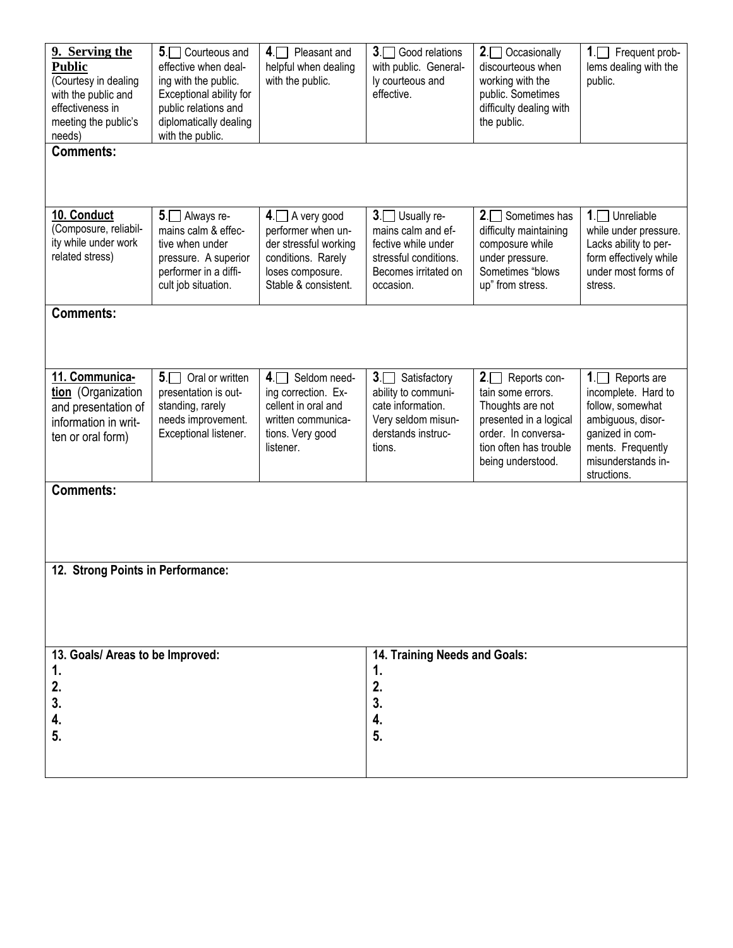| 9. Serving the<br><b>Public</b><br>(Courtesy in dealing<br>with the public and<br>effectiveness in<br>meeting the public's<br>needs) | $5\Box$ Courteous and<br>effective when deal-<br>ing with the public.<br>Exceptional ability for<br>public relations and<br>diplomatically dealing<br>with the public. | $4 \Box$ Pleasant and<br>helpful when dealing<br>with the public.                                                                 | 3. Good relations<br>with public. General-<br>ly courteous and<br>effective.                                              | $2.$ Occasionally<br>discourteous when<br>working with the<br>public. Sometimes<br>difficulty dealing with<br>the public.                                         | $1\Box$<br>Frequent prob-<br>lems dealing with the<br>public.                                                                                               |
|--------------------------------------------------------------------------------------------------------------------------------------|------------------------------------------------------------------------------------------------------------------------------------------------------------------------|-----------------------------------------------------------------------------------------------------------------------------------|---------------------------------------------------------------------------------------------------------------------------|-------------------------------------------------------------------------------------------------------------------------------------------------------------------|-------------------------------------------------------------------------------------------------------------------------------------------------------------|
| <b>Comments:</b>                                                                                                                     |                                                                                                                                                                        |                                                                                                                                   |                                                                                                                           |                                                                                                                                                                   |                                                                                                                                                             |
|                                                                                                                                      |                                                                                                                                                                        |                                                                                                                                   |                                                                                                                           |                                                                                                                                                                   |                                                                                                                                                             |
| 10. Conduct<br>(Composure, reliabil-<br>ity while under work<br>related stress)                                                      | 5. Always re-<br>mains calm & effec-<br>tive when under<br>pressure. A superior<br>performer in a diffi-<br>cult job situation.                                        | $4.$ A very good<br>performer when un-<br>der stressful working<br>conditions. Rarely<br>loses composure.<br>Stable & consistent. | 3. Usually re-<br>mains calm and ef-<br>fective while under<br>stressful conditions.<br>Becomes irritated on<br>occasion. | $2 \n\prod$ Sometimes has<br>difficulty maintaining<br>composure while<br>under pressure.<br>Sometimes "blows<br>up" from stress.                                 | $1.$ Unreliable<br>while under pressure.<br>Lacks ability to per-<br>form effectively while<br>under most forms of<br>stress.                               |
| <b>Comments:</b>                                                                                                                     |                                                                                                                                                                        |                                                                                                                                   |                                                                                                                           |                                                                                                                                                                   |                                                                                                                                                             |
|                                                                                                                                      |                                                                                                                                                                        |                                                                                                                                   |                                                                                                                           |                                                                                                                                                                   |                                                                                                                                                             |
| 11. Communica-<br>tion (Organization<br>and presentation of<br>information in writ-<br>ten or oral form)                             | $5. \Box$<br>Oral or written<br>presentation is out-<br>standing, rarely<br>needs improvement.<br>Exceptional listener.                                                | $4\sqrt{ }$<br>Seldom need-<br>ing correction. Ex-<br>cellent in oral and<br>written communica-<br>tions. Very good<br>listener.  | 3.<br>Satisfactory<br>ability to communi-<br>cate information.<br>Very seldom misun-<br>derstands instruc-<br>tions.      | $2 \square$ Reports con-<br>tain some errors.<br>Thoughts are not<br>presented in a logical<br>order. In conversa-<br>tion often has trouble<br>being understood. | 1. Reports are<br>incomplete. Hard to<br>follow, somewhat<br>ambiguous, disor-<br>ganized in com-<br>ments. Frequently<br>misunderstands in-<br>structions. |
| <b>Comments:</b>                                                                                                                     |                                                                                                                                                                        |                                                                                                                                   |                                                                                                                           |                                                                                                                                                                   |                                                                                                                                                             |
|                                                                                                                                      |                                                                                                                                                                        |                                                                                                                                   |                                                                                                                           |                                                                                                                                                                   |                                                                                                                                                             |
| 12. Strong Points in Performance:                                                                                                    |                                                                                                                                                                        |                                                                                                                                   |                                                                                                                           |                                                                                                                                                                   |                                                                                                                                                             |
|                                                                                                                                      |                                                                                                                                                                        |                                                                                                                                   |                                                                                                                           |                                                                                                                                                                   |                                                                                                                                                             |
| 14. Training Needs and Goals:<br>13. Goals/ Areas to be Improved:<br>1.<br>1.                                                        |                                                                                                                                                                        |                                                                                                                                   |                                                                                                                           |                                                                                                                                                                   |                                                                                                                                                             |
| 2.<br>3.                                                                                                                             |                                                                                                                                                                        |                                                                                                                                   | 2.<br>3.                                                                                                                  |                                                                                                                                                                   |                                                                                                                                                             |
| 4.                                                                                                                                   |                                                                                                                                                                        |                                                                                                                                   | 4.                                                                                                                        |                                                                                                                                                                   |                                                                                                                                                             |
| 5.                                                                                                                                   |                                                                                                                                                                        |                                                                                                                                   | 5.                                                                                                                        |                                                                                                                                                                   |                                                                                                                                                             |